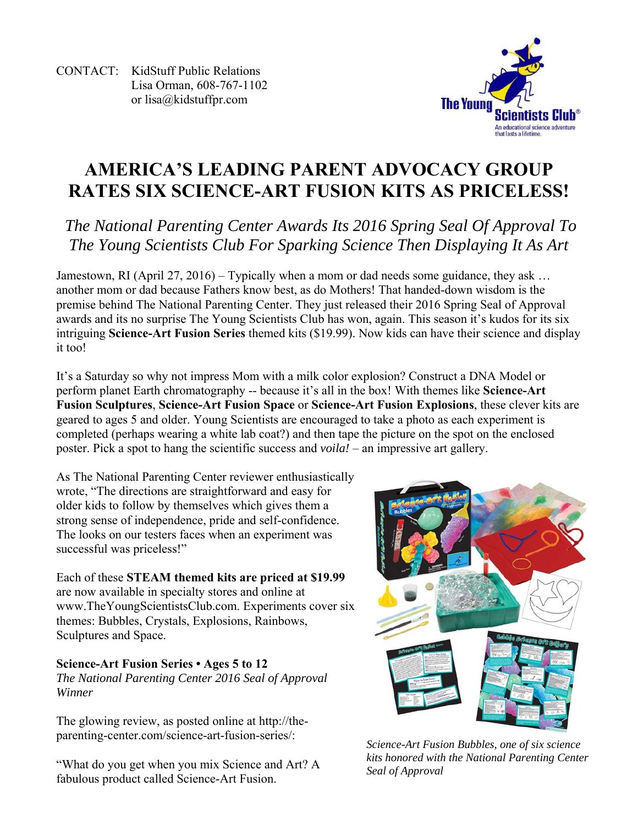CONTACT: KidStuff Public Relations Lisa Orman, 608-767-1102 or lisa@kidstuffpr.com



## **AMERICA'S LEADING PARENT ADVOCACY GROUP RATES SIX SCIENCE-ART FUSION KITS AS PRICELESS!**

## *The National Parenting Center Awards Its 2016 Spring Seal Of Approval To The Young Scientists Club For Sparking Science Then Displaying It As Art*

Jamestown, RI (April 27, 2016) – Typically when a mom or dad needs some guidance, they ask ... another mom or dad because Fathers know best, as do Mothers! That handed-down wisdom is the premise behind The National Parenting Center. They just released their 2016 Spring Seal of Approval awards and its no surprise The Young Scientists Club has won, again. This season it's kudos for its six intriguing **Science-Art Fusion Series** themed kits (\$19.99). Now kids can have their science and display it too!

It's a Saturday so why not impress Mom with a milk color explosion? Construct a DNA Model or perform planet Earth chromatography -- because it's all in the box! With themes like **Science-Art Fusion Sculptures**, **Science-Art Fusion Space** or **Science-Art Fusion Explosions**, these clever kits are geared to ages 5 and older. Young Scientists are encouraged to take a photo as each experiment is completed (perhaps wearing a white lab coat?) and then tape the picture on the spot on the enclosed poster. Pick a spot to hang the scientific success and *voila!* – an impressive art gallery.

As The National Parenting Center reviewer enthusiastically wrote, "The directions are straightforward and easy for older kids to follow by themselves which gives them a strong sense of independence, pride and self-confidence. The looks on our testers faces when an experiment was successful was priceless!"

Each of these **STEAM themed kits are priced at \$19.99** are now available in specialty stores and online at www.TheYoungScientistsClub.com. Experiments cover six themes: Bubbles, Crystals, Explosions, Rainbows, Sculptures and Space.

## **Science-Art Fusion Series • Ages 5 to 12**  *The National Parenting Center 2016 Seal of Approval Winner*

The glowing review, as posted online at http://theparenting-center.com/science-art-fusion-series/:

"What do you get when you mix Science and Art? A fabulous product called Science-Art Fusion.



*Science-Art Fusion Bubbles, one of six science kits honored with the National Parenting Center Seal of Approval*